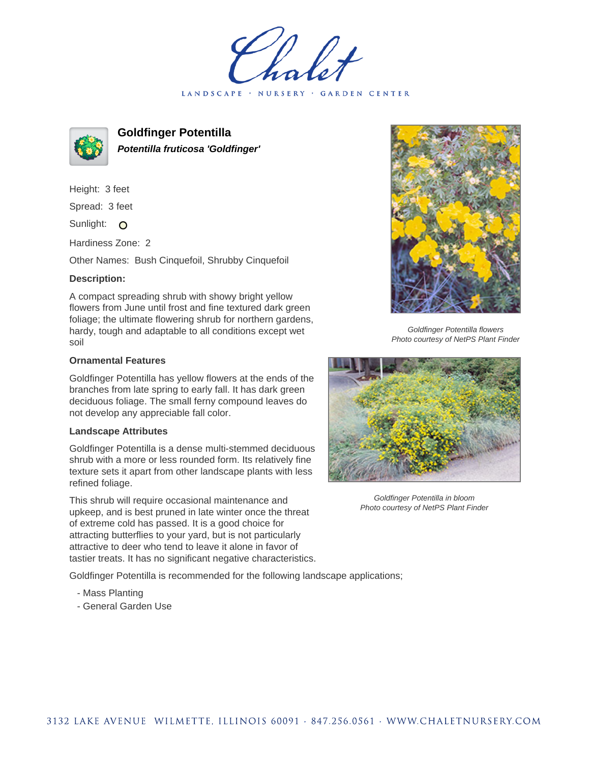holet LANDSCAPE · NURSERY · GARDEN CENTER



**Goldfinger Potentilla Potentilla fruticosa 'Goldfinger'**

Height: 3 feet Spread: 3 feet Sunlight: O

Hardiness Zone: 2

Other Names: Bush Cinquefoil, Shrubby Cinquefoil

## **Description:**

A compact spreading shrub with showy bright yellow flowers from June until frost and fine textured dark green foliage; the ultimate flowering shrub for northern gardens, hardy, tough and adaptable to all conditions except wet soil

## **Ornamental Features**

Goldfinger Potentilla has yellow flowers at the ends of the branches from late spring to early fall. It has dark green deciduous foliage. The small ferny compound leaves do not develop any appreciable fall color.

## **Landscape Attributes**

Goldfinger Potentilla is a dense multi-stemmed deciduous shrub with a more or less rounded form. Its relatively fine texture sets it apart from other landscape plants with less refined foliage.

This shrub will require occasional maintenance and upkeep, and is best pruned in late winter once the threat of extreme cold has passed. It is a good choice for attracting butterflies to your yard, but is not particularly attractive to deer who tend to leave it alone in favor of tastier treats. It has no significant negative characteristics.

Goldfinger Potentilla is recommended for the following landscape applications;

- Mass Planting
- General Garden Use



Goldfinger Potentilla flowers Photo courtesy of NetPS Plant Finder



Goldfinger Potentilla in bloom Photo courtesy of NetPS Plant Finder